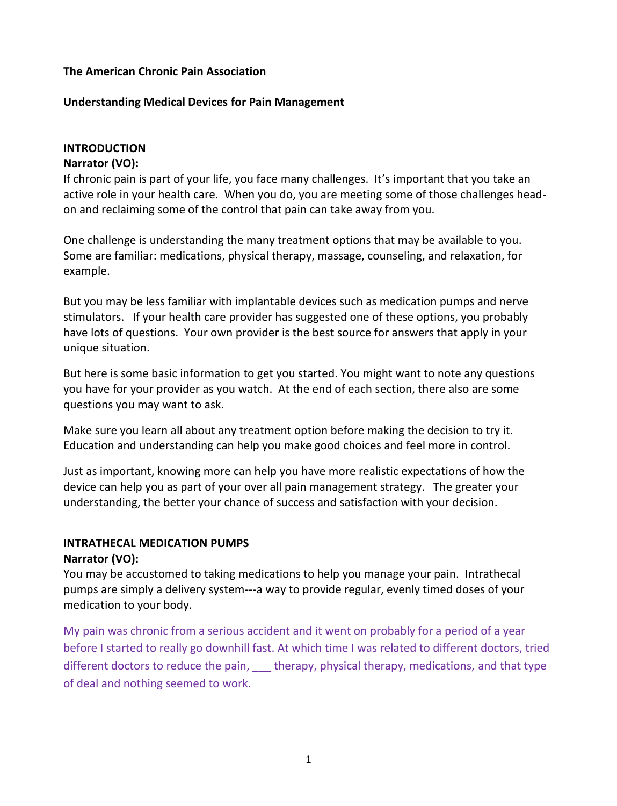#### **The American Chronic Pain Association**

#### **Understanding Medical Devices for Pain Management**

#### **INTRODUCTION**

#### **Narrator (VO):**

If chronic pain is part of your life, you face many challenges. It's important that you take an active role in your health care. When you do, you are meeting some of those challenges headon and reclaiming some of the control that pain can take away from you.

One challenge is understanding the many treatment options that may be available to you. Some are familiar: medications, physical therapy, massage, counseling, and relaxation, for example.

But you may be less familiar with implantable devices such as medication pumps and nerve stimulators. If your health care provider has suggested one of these options, you probably have lots of questions. Your own provider is the best source for answers that apply in your unique situation.

But here is some basic information to get you started. You might want to note any questions you have for your provider as you watch. At the end of each section, there also are some questions you may want to ask.

Make sure you learn all about any treatment option before making the decision to try it. Education and understanding can help you make good choices and feel more in control.

Just as important, knowing more can help you have more realistic expectations of how the device can help you as part of your over all pain management strategy. The greater your understanding, the better your chance of success and satisfaction with your decision.

## **INTRATHECAL MEDICATION PUMPS**

#### **Narrator (VO):**

You may be accustomed to taking medications to help you manage your pain. Intrathecal pumps are simply a delivery system---a way to provide regular, evenly timed doses of your medication to your body.

My pain was chronic from a serious accident and it went on probably for a period of a year before I started to really go downhill fast. At which time I was related to different doctors, tried different doctors to reduce the pain, therapy, physical therapy, medications, and that type of deal and nothing seemed to work.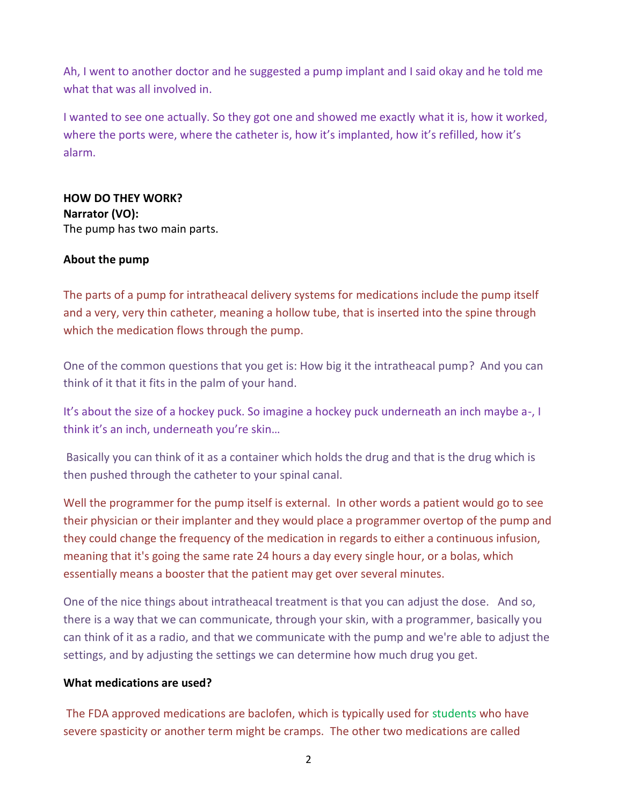Ah, I went to another doctor and he suggested a pump implant and I said okay and he told me what that was all involved in.

I wanted to see one actually. So they got one and showed me exactly what it is, how it worked, where the ports were, where the catheter is, how it's implanted, how it's refilled, how it's alarm.

## **HOW DO THEY WORK? Narrator (VO):** The pump has two main parts.

## **About the pump**

The parts of a pump for intratheacal delivery systems for medications include the pump itself and a very, very thin catheter, meaning a hollow tube, that is inserted into the spine through which the medication flows through the pump.

One of the common questions that you get is: How big it the intratheacal pump? And you can think of it that it fits in the palm of your hand.

It's about the size of a hockey puck. So imagine a hockey puck underneath an inch maybe a-, I think it's an inch, underneath you're skin…

Basically you can think of it as a container which holds the drug and that is the drug which is then pushed through the catheter to your spinal canal.

Well the programmer for the pump itself is external. In other words a patient would go to see their physician or their implanter and they would place a programmer overtop of the pump and they could change the frequency of the medication in regards to either a continuous infusion, meaning that it's going the same rate 24 hours a day every single hour, or a bolas, which essentially means a booster that the patient may get over several minutes.

One of the nice things about intratheacal treatment is that you can adjust the dose. And so, there is a way that we can communicate, through your skin, with a programmer, basically you can think of it as a radio, and that we communicate with the pump and we're able to adjust the settings, and by adjusting the settings we can determine how much drug you get.

#### **What medications are used?**

The FDA approved medications are baclofen, which is typically used for students who have severe spasticity or another term might be cramps. The other two medications are called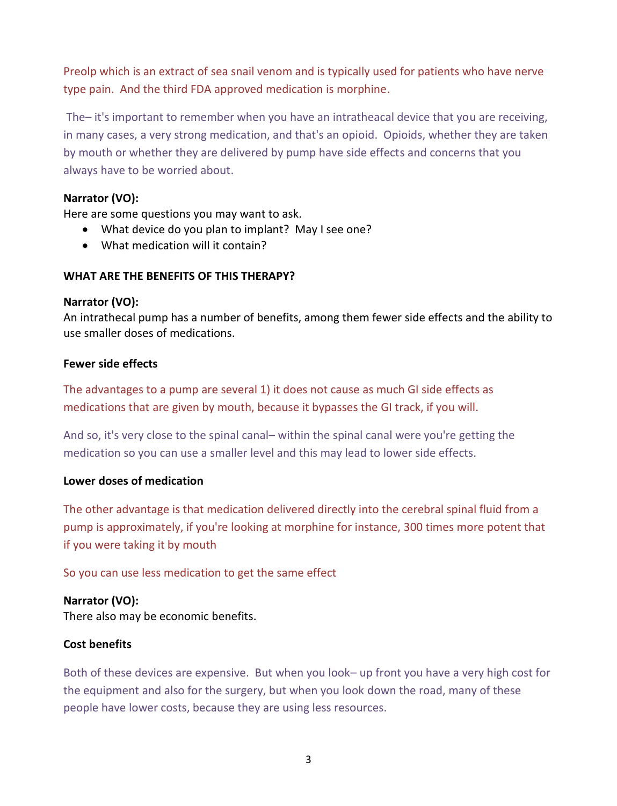Preolp which is an extract of sea snail venom and is typically used for patients who have nerve type pain. And the third FDA approved medication is morphine.

The– it's important to remember when you have an intratheacal device that you are receiving, in many cases, a very strong medication, and that's an opioid. Opioids, whether they are taken by mouth or whether they are delivered by pump have side effects and concerns that you always have to be worried about.

## **Narrator (VO):**

Here are some questions you may want to ask.

- What device do you plan to implant? May I see one?
- What medication will it contain?

## **WHAT ARE THE BENEFITS OF THIS THERAPY?**

#### **Narrator (VO):**

An intrathecal pump has a number of benefits, among them fewer side effects and the ability to use smaller doses of medications.

#### **Fewer side effects**

The advantages to a pump are several 1) it does not cause as much GI side effects as medications that are given by mouth, because it bypasses the GI track, if you will.

And so, it's very close to the spinal canal– within the spinal canal were you're getting the medication so you can use a smaller level and this may lead to lower side effects.

## **Lower doses of medication**

The other advantage is that medication delivered directly into the cerebral spinal fluid from a pump is approximately, if you're looking at morphine for instance, 300 times more potent that if you were taking it by mouth

So you can use less medication to get the same effect

## **Narrator (VO):**

There also may be economic benefits.

## **Cost benefits**

Both of these devices are expensive. But when you look– up front you have a very high cost for the equipment and also for the surgery, but when you look down the road, many of these people have lower costs, because they are using less resources.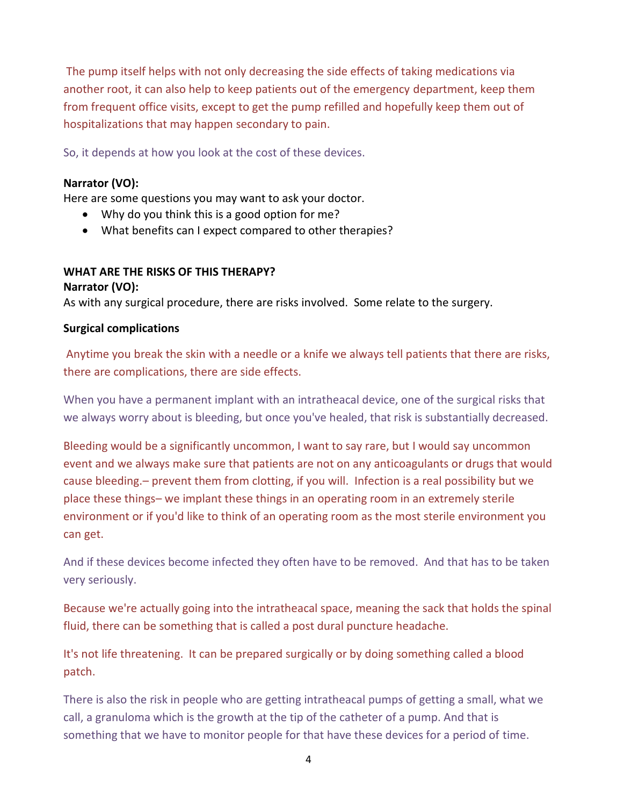The pump itself helps with not only decreasing the side effects of taking medications via another root, it can also help to keep patients out of the emergency department, keep them from frequent office visits, except to get the pump refilled and hopefully keep them out of hospitalizations that may happen secondary to pain.

So, it depends at how you look at the cost of these devices.

## **Narrator (VO):**

Here are some questions you may want to ask your doctor.

- Why do you think this is a good option for me?
- What benefits can I expect compared to other therapies?

## **WHAT ARE THE RISKS OF THIS THERAPY? Narrator (VO):**

As with any surgical procedure, there are risks involved. Some relate to the surgery.

## **Surgical complications**

Anytime you break the skin with a needle or a knife we always tell patients that there are risks, there are complications, there are side effects.

When you have a permanent implant with an intratheacal device, one of the surgical risks that we always worry about is bleeding, but once you've healed, that risk is substantially decreased.

Bleeding would be a significantly uncommon, I want to say rare, but I would say uncommon event and we always make sure that patients are not on any anticoagulants or drugs that would cause bleeding.– prevent them from clotting, if you will. Infection is a real possibility but we place these things– we implant these things in an operating room in an extremely sterile environment or if you'd like to think of an operating room as the most sterile environment you can get.

And if these devices become infected they often have to be removed. And that has to be taken very seriously.

Because we're actually going into the intratheacal space, meaning the sack that holds the spinal fluid, there can be something that is called a post dural puncture headache.

It's not life threatening. It can be prepared surgically or by doing something called a blood patch.

There is also the risk in people who are getting intratheacal pumps of getting a small, what we call, a granuloma which is the growth at the tip of the catheter of a pump. And that is something that we have to monitor people for that have these devices for a period of time.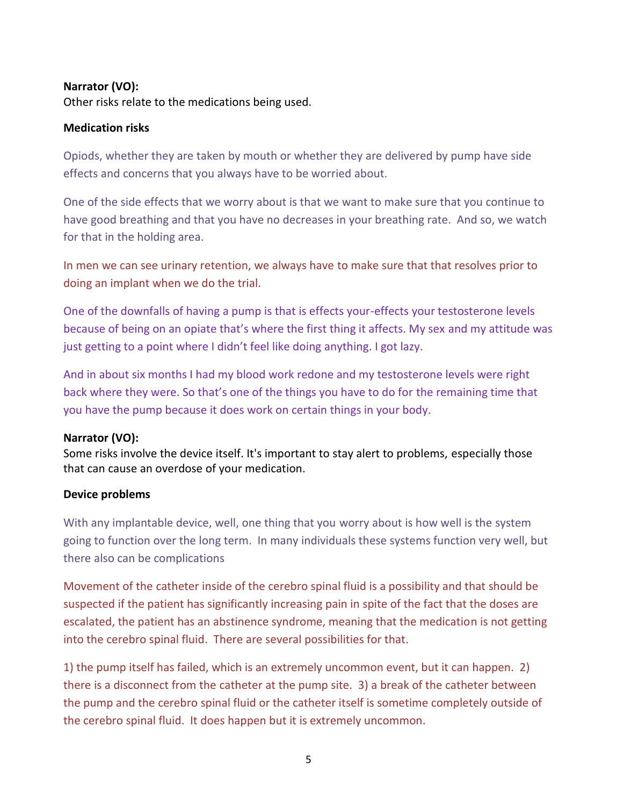## **Narrator (VO):**

Other risks relate to the medications being used.

## **Medication risks**

Opiods, whether they are taken by mouth or whether they are delivered by pump have side effects and concerns that you always have to be worried about.

One of the side effects that we worry about is that we want to make sure that you continue to have good breathing and that you have no decreases in your breathing rate. And so, we watch for that in the holding area.

In men we can see urinary retention, we always have to make sure that that resolves prior to doing an implant when we do the trial.

One of the downfalls of having a pump is that is effects your-effects your testosterone levels because of being on an opiate that's where the first thing it affects. My sex and my attitude was just getting to a point where I didn't feel like doing anything. I got lazy.

And in about six months I had my blood work redone and my testosterone levels were right back where they were. So that's one of the things you have to do for the remaining time that you have the pump because it does work on certain things in your body.

## **Narrator (VO):**

Some risks involve the device itself. It's important to stay alert to problems, especially those that can cause an overdose of your medication.

## **Device problems**

With any implantable device, well, one thing that you worry about is how well is the system going to function over the long term. In many individuals these systems function very well, but there also can be complications

Movement of the catheter inside of the cerebro spinal fluid is a possibility and that should be suspected if the patient has significantly increasing pain in spite of the fact that the doses are escalated, the patient has an abstinence syndrome, meaning that the medication is not getting into the cerebro spinal fluid. There are several possibilities for that.

1) the pump itself has failed, which is an extremely uncommon event, but it can happen. 2) there is a disconnect from the catheter at the pump site. 3) a break of the catheter between the pump and the cerebro spinal fluid or the catheter itself is sometime completely outside of the cerebro spinal fluid. It does happen but it is extremely uncommon.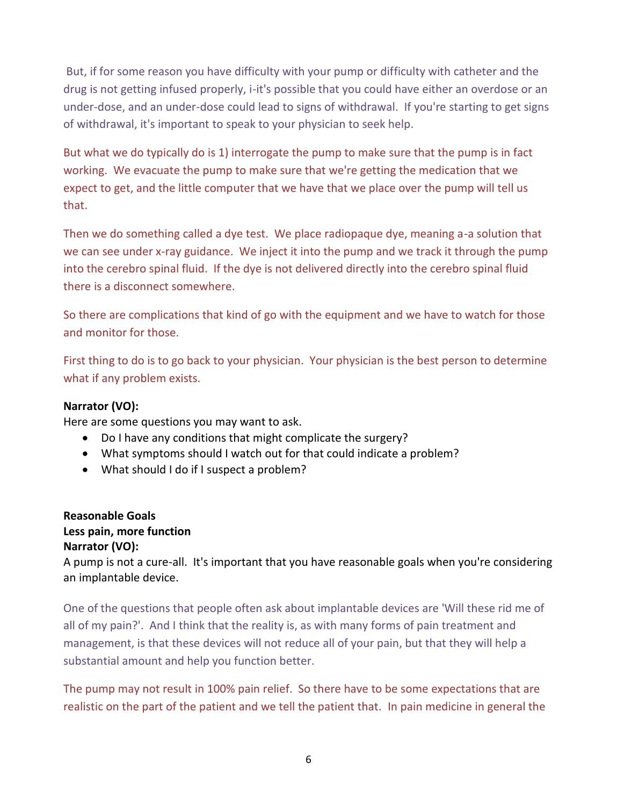But, if for some reason you have difficulty with your pump or difficulty with catheter and the drug is not getting infused properly, i-it's possible that you could have either an overdose or an under-dose, and an under-dose could lead to signs of withdrawal. If you're starting to get signs of withdrawal, it's important to speak to your physician to seek help.

But what we do typically do is 1) interrogate the pump to make sure that the pump is in fact working. We evacuate the pump to make sure that we're getting the medication that we expect to get, and the little computer that we have that we place over the pump will tell us that.

Then we do something called a dye test. We place radiopaque dye, meaning a-a solution that we can see under x-ray guidance. We inject it into the pump and we track it through the pump into the cerebro spinal fluid. If the dye is not delivered directly into the cerebro spinal fluid there is a disconnect somewhere.

So there are complications that kind of go with the equipment and we have to watch for those and monitor for those.

First thing to do is to go back to your physician. Your physician is the best person to determine what if any problem exists.

## **Narrator (VO):**

Here are some questions you may want to ask.

- Do I have any conditions that might complicate the surgery?
- What symptoms should I watch out for that could indicate a problem?
- What should I do if I suspect a problem?

## **Reasonable Goals Less pain, more function Narrator (VO):**

A pump is not a cure-all. It's important that you have reasonable goals when you're considering an implantable device.

One of the questions that people often ask about implantable devices are 'Will these rid me of all of my pain?'. And I think that the reality is, as with many forms of pain treatment and management, is that these devices will not reduce all of your pain, but that they will help a substantial amount and help you function better.

The pump may not result in 100% pain relief. So there have to be some expectations that are realistic on the part of the patient and we tell the patient that. In pain medicine in general the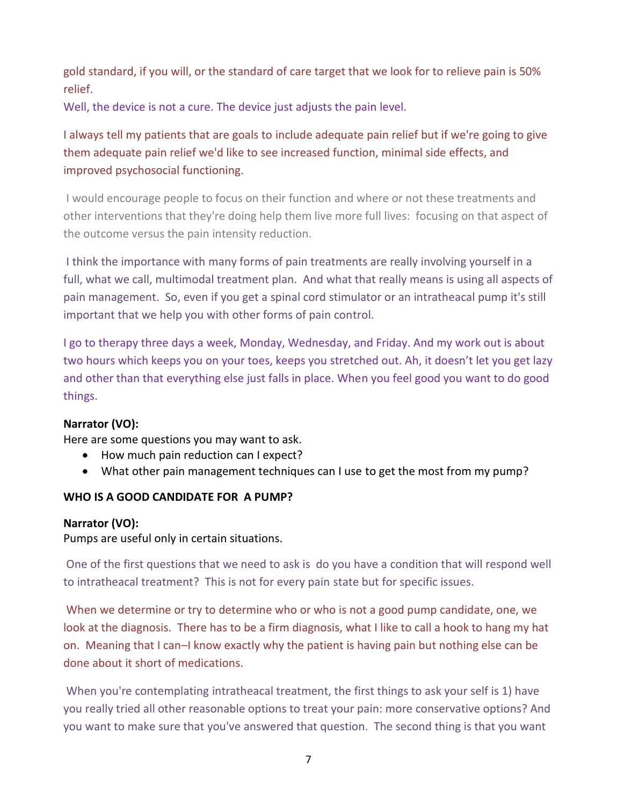gold standard, if you will, or the standard of care target that we look for to relieve pain is 50% relief.

Well, the device is not a cure. The device just adjusts the pain level.

## I always tell my patients that are goals to include adequate pain relief but if we're going to give them adequate pain relief we'd like to see increased function, minimal side effects, and improved psychosocial functioning.

I would encourage people to focus on their function and where or not these treatments and other interventions that they're doing help them live more full lives: focusing on that aspect of the outcome versus the pain intensity reduction.

I think the importance with many forms of pain treatments are really involving yourself in a full, what we call, multimodal treatment plan. And what that really means is using all aspects of pain management. So, even if you get a spinal cord stimulator or an intratheacal pump it's still important that we help you with other forms of pain control.

I go to therapy three days a week, Monday, Wednesday, and Friday. And my work out is about two hours which keeps you on your toes, keeps you stretched out. Ah, it doesn't let you get lazy and other than that everything else just falls in place. When you feel good you want to do good things.

## **Narrator (VO):**

Here are some questions you may want to ask.

- How much pain reduction can I expect?
- What other pain management techniques can I use to get the most from my pump?

## **WHO IS A GOOD CANDIDATE FOR A PUMP?**

## **Narrator (VO):**

Pumps are useful only in certain situations.

One of the first questions that we need to ask is do you have a condition that will respond well to intratheacal treatment? This is not for every pain state but for specific issues.

When we determine or try to determine who or who is not a good pump candidate, one, we look at the diagnosis. There has to be a firm diagnosis, what I like to call a hook to hang my hat on. Meaning that I can–I know exactly why the patient is having pain but nothing else can be done about it short of medications.

When you're contemplating intratheacal treatment, the first things to ask your self is 1) have you really tried all other reasonable options to treat your pain: more conservative options? And you want to make sure that you've answered that question. The second thing is that you want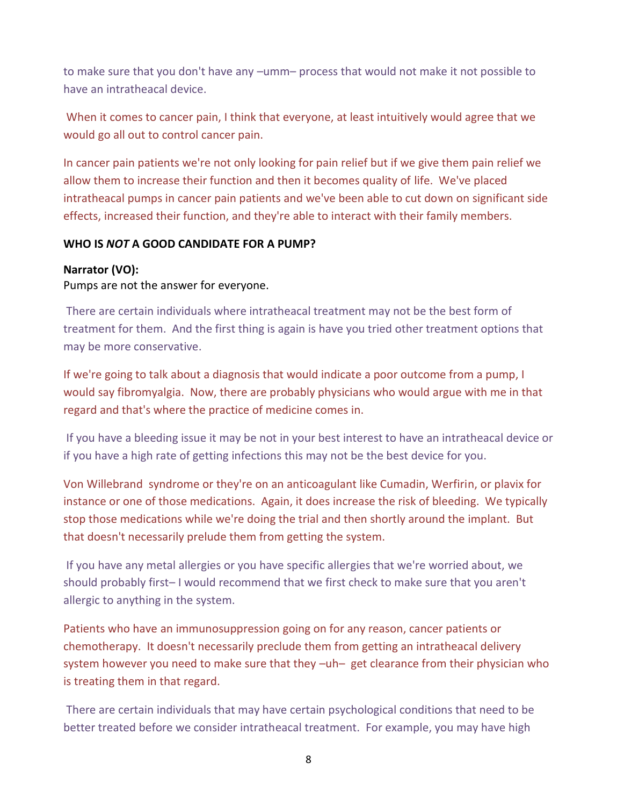to make sure that you don't have any –umm– process that would not make it not possible to have an intratheacal device.

When it comes to cancer pain, I think that everyone, at least intuitively would agree that we would go all out to control cancer pain.

In cancer pain patients we're not only looking for pain relief but if we give them pain relief we allow them to increase their function and then it becomes quality of life. We've placed intratheacal pumps in cancer pain patients and we've been able to cut down on significant side effects, increased their function, and they're able to interact with their family members.

## **WHO IS** *NOT* **A GOOD CANDIDATE FOR A PUMP?**

## **Narrator (VO):**

Pumps are not the answer for everyone.

There are certain individuals where intratheacal treatment may not be the best form of treatment for them. And the first thing is again is have you tried other treatment options that may be more conservative.

If we're going to talk about a diagnosis that would indicate a poor outcome from a pump, I would say fibromyalgia. Now, there are probably physicians who would argue with me in that regard and that's where the practice of medicine comes in.

If you have a bleeding issue it may be not in your best interest to have an intratheacal device or if you have a high rate of getting infections this may not be the best device for you.

Von Willebrand syndrome or they're on an anticoagulant like Cumadin, Werfirin, or plavix for instance or one of those medications. Again, it does increase the risk of bleeding. We typically stop those medications while we're doing the trial and then shortly around the implant. But that doesn't necessarily prelude them from getting the system.

If you have any metal allergies or you have specific allergies that we're worried about, we should probably first– I would recommend that we first check to make sure that you aren't allergic to anything in the system.

Patients who have an immunosuppression going on for any reason, cancer patients or chemotherapy. It doesn't necessarily preclude them from getting an intratheacal delivery system however you need to make sure that they –uh– get clearance from their physician who is treating them in that regard.

There are certain individuals that may have certain psychological conditions that need to be better treated before we consider intratheacal treatment. For example, you may have high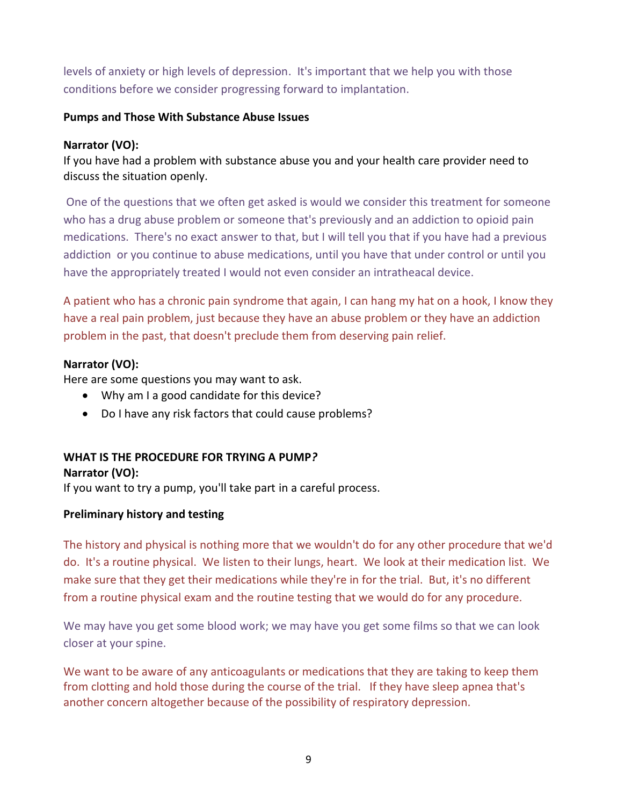levels of anxiety or high levels of depression. It's important that we help you with those conditions before we consider progressing forward to implantation.

## **Pumps and Those With Substance Abuse Issues**

## **Narrator (VO):**

If you have had a problem with substance abuse you and your health care provider need to discuss the situation openly.

One of the questions that we often get asked is would we consider this treatment for someone who has a drug abuse problem or someone that's previously and an addiction to opioid pain medications. There's no exact answer to that, but I will tell you that if you have had a previous addiction or you continue to abuse medications, until you have that under control or until you have the appropriately treated I would not even consider an intratheacal device.

A patient who has a chronic pain syndrome that again, I can hang my hat on a hook, I know they have a real pain problem, just because they have an abuse problem or they have an addiction problem in the past, that doesn't preclude them from deserving pain relief.

## **Narrator (VO):**

Here are some questions you may want to ask.

- Why am I a good candidate for this device?
- Do I have any risk factors that could cause problems?

## **WHAT IS THE PROCEDURE FOR TRYING A PUMP***?* **Narrator (VO):**

If you want to try a pump, you'll take part in a careful process.

## **Preliminary history and testing**

The history and physical is nothing more that we wouldn't do for any other procedure that we'd do. It's a routine physical. We listen to their lungs, heart. We look at their medication list. We make sure that they get their medications while they're in for the trial. But, it's no different from a routine physical exam and the routine testing that we would do for any procedure.

We may have you get some blood work; we may have you get some films so that we can look closer at your spine.

We want to be aware of any anticoagulants or medications that they are taking to keep them from clotting and hold those during the course of the trial. If they have sleep apnea that's another concern altogether because of the possibility of respiratory depression.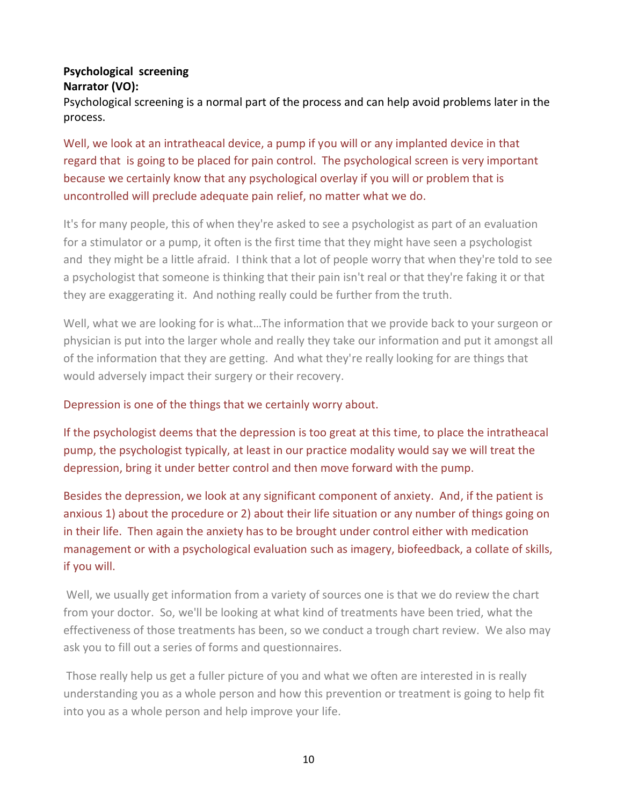## **Psychological screening Narrator (VO):**

Psychological screening is a normal part of the process and can help avoid problems later in the process.

Well, we look at an intratheacal device, a pump if you will or any implanted device in that regard that is going to be placed for pain control. The psychological screen is very important because we certainly know that any psychological overlay if you will or problem that is uncontrolled will preclude adequate pain relief, no matter what we do.

It's for many people, this of when they're asked to see a psychologist as part of an evaluation for a stimulator or a pump, it often is the first time that they might have seen a psychologist and they might be a little afraid. I think that a lot of people worry that when they're told to see a psychologist that someone is thinking that their pain isn't real or that they're faking it or that they are exaggerating it. And nothing really could be further from the truth.

Well, what we are looking for is what…The information that we provide back to your surgeon or physician is put into the larger whole and really they take our information and put it amongst all of the information that they are getting. And what they're really looking for are things that would adversely impact their surgery or their recovery.

## Depression is one of the things that we certainly worry about.

If the psychologist deems that the depression is too great at this time, to place the intratheacal pump, the psychologist typically, at least in our practice modality would say we will treat the depression, bring it under better control and then move forward with the pump.

Besides the depression, we look at any significant component of anxiety. And, if the patient is anxious 1) about the procedure or 2) about their life situation or any number of things going on in their life. Then again the anxiety has to be brought under control either with medication management or with a psychological evaluation such as imagery, biofeedback, a collate of skills, if you will.

Well, we usually get information from a variety of sources one is that we do review the chart from your doctor. So, we'll be looking at what kind of treatments have been tried, what the effectiveness of those treatments has been, so we conduct a trough chart review. We also may ask you to fill out a series of forms and questionnaires.

Those really help us get a fuller picture of you and what we often are interested in is really understanding you as a whole person and how this prevention or treatment is going to help fit into you as a whole person and help improve your life.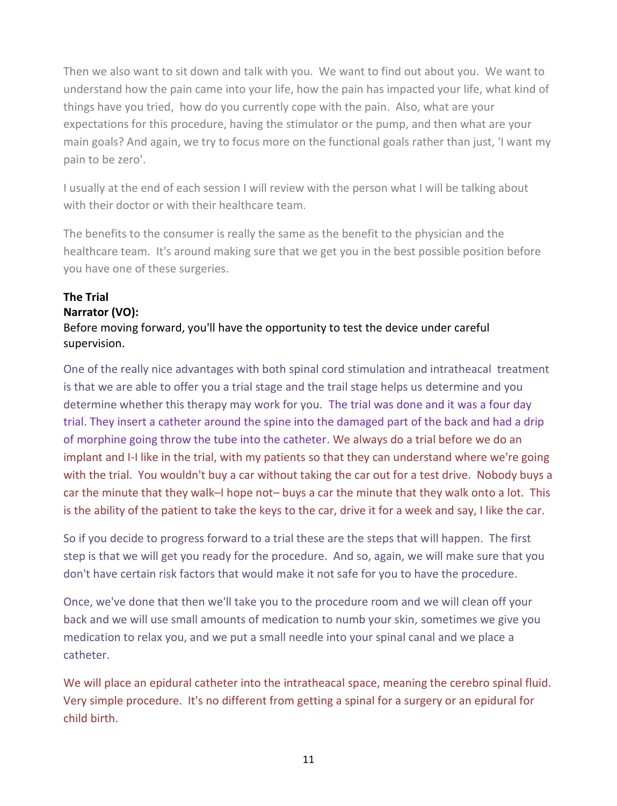Then we also want to sit down and talk with you. We want to find out about you. We want to understand how the pain came into your life, how the pain has impacted your life, what kind of things have you tried, how do you currently cope with the pain. Also, what are your expectations for this procedure, having the stimulator or the pump, and then what are your main goals? And again, we try to focus more on the functional goals rather than just, 'I want my pain to be zero'.

I usually at the end of each session I will review with the person what I will be talking about with their doctor or with their healthcare team.

The benefits to the consumer is really the same as the benefit to the physician and the healthcare team. It's around making sure that we get you in the best possible position before you have one of these surgeries.

# **The Trial**

## **Narrator (VO):**

Before moving forward, you'll have the opportunity to test the device under careful supervision.

One of the really nice advantages with both spinal cord stimulation and intratheacal treatment is that we are able to offer you a trial stage and the trail stage helps us determine and you determine whether this therapy may work for you. The trial was done and it was a four day trial. They insert a catheter around the spine into the damaged part of the back and had a drip of morphine going throw the tube into the catheter. We always do a trial before we do an implant and I-I like in the trial, with my patients so that they can understand where we're going with the trial. You wouldn't buy a car without taking the car out for a test drive. Nobody buys a car the minute that they walk–I hope not– buys a car the minute that they walk onto a lot. This is the ability of the patient to take the keys to the car, drive it for a week and say, I like the car.

So if you decide to progress forward to a trial these are the steps that will happen. The first step is that we will get you ready for the procedure. And so, again, we will make sure that you don't have certain risk factors that would make it not safe for you to have the procedure.

Once, we've done that then we'll take you to the procedure room and we will clean off your back and we will use small amounts of medication to numb your skin, sometimes we give you medication to relax you, and we put a small needle into your spinal canal and we place a catheter.

We will place an epidural catheter into the intratheacal space, meaning the cerebro spinal fluid. Very simple procedure. It's no different from getting a spinal for a surgery or an epidural for child birth.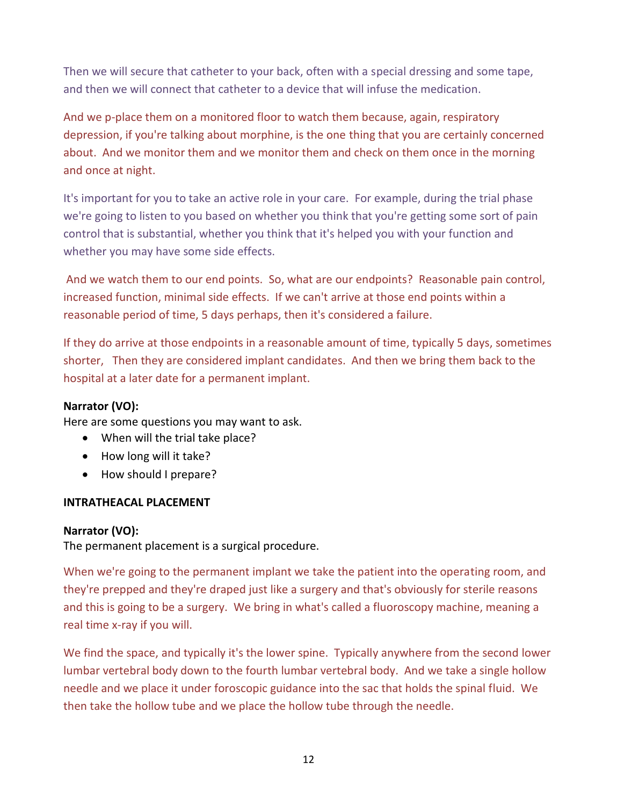Then we will secure that catheter to your back, often with a special dressing and some tape, and then we will connect that catheter to a device that will infuse the medication.

And we p-place them on a monitored floor to watch them because, again, respiratory depression, if you're talking about morphine, is the one thing that you are certainly concerned about. And we monitor them and we monitor them and check on them once in the morning and once at night.

It's important for you to take an active role in your care. For example, during the trial phase we're going to listen to you based on whether you think that you're getting some sort of pain control that is substantial, whether you think that it's helped you with your function and whether you may have some side effects.

And we watch them to our end points. So, what are our endpoints? Reasonable pain control, increased function, minimal side effects. If we can't arrive at those end points within a reasonable period of time, 5 days perhaps, then it's considered a failure.

If they do arrive at those endpoints in a reasonable amount of time, typically 5 days, sometimes shorter, Then they are considered implant candidates. And then we bring them back to the hospital at a later date for a permanent implant.

#### **Narrator (VO):**

Here are some questions you may want to ask.

- When will the trial take place?
- How long will it take?
- How should I prepare?

## **INTRATHEACAL PLACEMENT**

#### **Narrator (VO):**

The permanent placement is a surgical procedure.

When we're going to the permanent implant we take the patient into the operating room, and they're prepped and they're draped just like a surgery and that's obviously for sterile reasons and this is going to be a surgery. We bring in what's called a fluoroscopy machine, meaning a real time x-ray if you will.

We find the space, and typically it's the lower spine. Typically anywhere from the second lower lumbar vertebral body down to the fourth lumbar vertebral body. And we take a single hollow needle and we place it under foroscopic guidance into the sac that holds the spinal fluid. We then take the hollow tube and we place the hollow tube through the needle.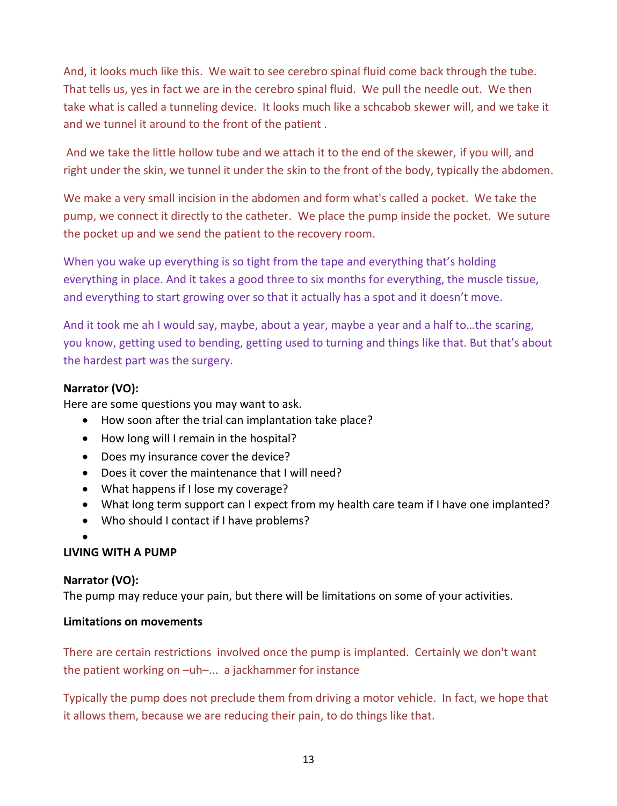And, it looks much like this. We wait to see cerebro spinal fluid come back through the tube. That tells us, yes in fact we are in the cerebro spinal fluid. We pull the needle out. We then take what is called a tunneling device. It looks much like a schcabob skewer will, and we take it and we tunnel it around to the front of the patient .

And we take the little hollow tube and we attach it to the end of the skewer, if you will, and right under the skin, we tunnel it under the skin to the front of the body, typically the abdomen.

We make a very small incision in the abdomen and form what's called a pocket. We take the pump, we connect it directly to the catheter. We place the pump inside the pocket. We suture the pocket up and we send the patient to the recovery room.

When you wake up everything is so tight from the tape and everything that's holding everything in place. And it takes a good three to six months for everything, the muscle tissue, and everything to start growing over so that it actually has a spot and it doesn't move.

And it took me ah I would say, maybe, about a year, maybe a year and a half to…the scaring, you know, getting used to bending, getting used to turning and things like that. But that's about the hardest part was the surgery.

## **Narrator (VO):**

Here are some questions you may want to ask.

- How soon after the trial can implantation take place?
- How long will I remain in the hospital?
- Does my insurance cover the device?
- Does it cover the maintenance that I will need?
- What happens if I lose my coverage?
- What long term support can I expect from my health care team if I have one implanted?
- Who should I contact if I have problems?
- $\bullet$

## **LIVING WITH A PUMP**

## **Narrator (VO):**

The pump may reduce your pain, but there will be limitations on some of your activities.

## **Limitations on movements**

There are certain restrictions involved once the pump is implanted. Certainly we don't want the patient working on –uh–... a jackhammer for instance

Typically the pump does not preclude them from driving a motor vehicle. In fact, we hope that it allows them, because we are reducing their pain, to do things like that.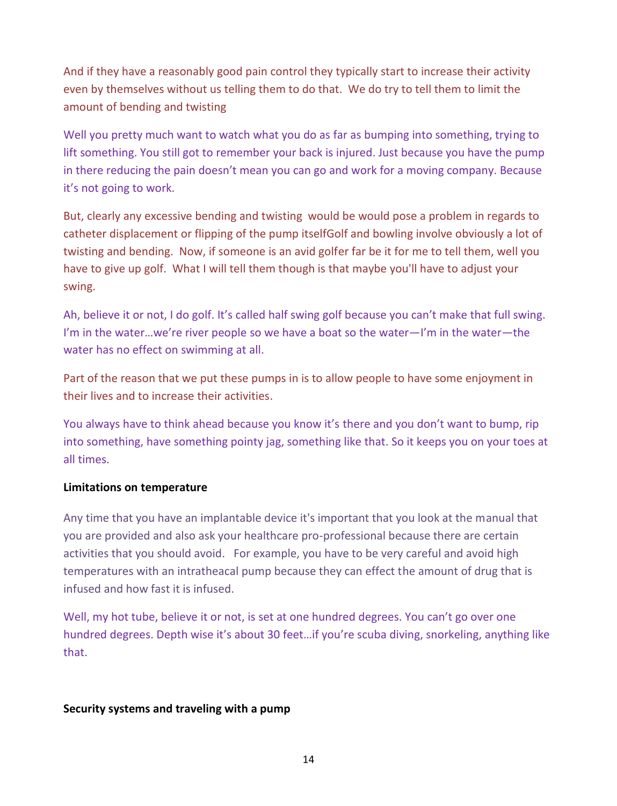And if they have a reasonably good pain control they typically start to increase their activity even by themselves without us telling them to do that. We do try to tell them to limit the amount of bending and twisting

Well you pretty much want to watch what you do as far as bumping into something, trying to lift something. You still got to remember your back is injured. Just because you have the pump in there reducing the pain doesn't mean you can go and work for a moving company. Because it's not going to work.

But, clearly any excessive bending and twisting would be would pose a problem in regards to catheter displacement or flipping of the pump itselfGolf and bowling involve obviously a lot of twisting and bending. Now, if someone is an avid golfer far be it for me to tell them, well you have to give up golf. What I will tell them though is that maybe you'll have to adjust your swing.

Ah, believe it or not, I do golf. It's called half swing golf because you can't make that full swing. I'm in the water…we're river people so we have a boat so the water—I'm in the water—the water has no effect on swimming at all.

Part of the reason that we put these pumps in is to allow people to have some enjoyment in their lives and to increase their activities.

You always have to think ahead because you know it's there and you don't want to bump, rip into something, have something pointy jag, something like that. So it keeps you on your toes at all times.

#### **Limitations on temperature**

Any time that you have an implantable device it's important that you look at the manual that you are provided and also ask your healthcare pro-professional because there are certain activities that you should avoid. For example, you have to be very careful and avoid high temperatures with an intratheacal pump because they can effect the amount of drug that is infused and how fast it is infused.

Well, my hot tube, believe it or not, is set at one hundred degrees. You can't go over one hundred degrees. Depth wise it's about 30 feet…if you're scuba diving, snorkeling, anything like that.

#### **Security systems and traveling with a pump**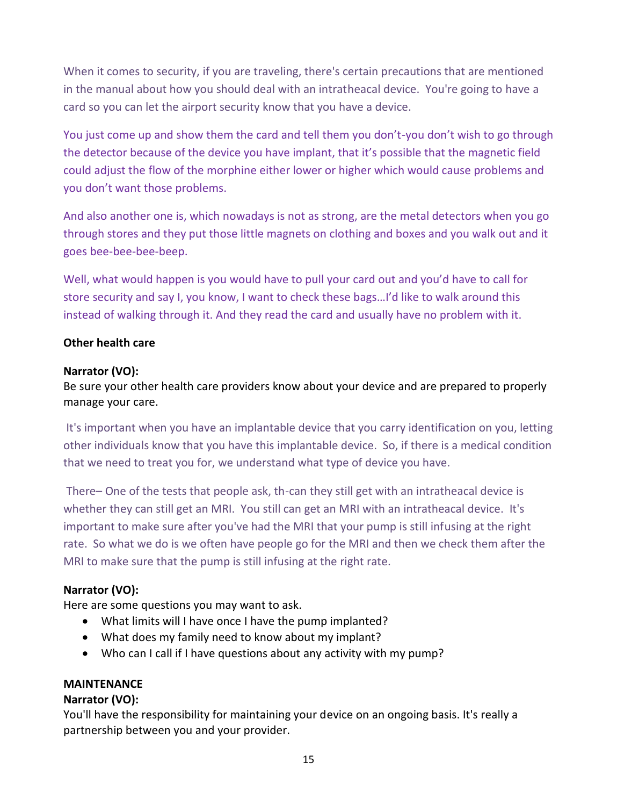When it comes to security, if you are traveling, there's certain precautions that are mentioned in the manual about how you should deal with an intratheacal device. You're going to have a card so you can let the airport security know that you have a device.

You just come up and show them the card and tell them you don't-you don't wish to go through the detector because of the device you have implant, that it's possible that the magnetic field could adjust the flow of the morphine either lower or higher which would cause problems and you don't want those problems.

And also another one is, which nowadays is not as strong, are the metal detectors when you go through stores and they put those little magnets on clothing and boxes and you walk out and it goes bee-bee-bee-beep.

Well, what would happen is you would have to pull your card out and you'd have to call for store security and say I, you know, I want to check these bags…I'd like to walk around this instead of walking through it. And they read the card and usually have no problem with it.

## **Other health care**

## **Narrator (VO):**

Be sure your other health care providers know about your device and are prepared to properly manage your care.

It's important when you have an implantable device that you carry identification on you, letting other individuals know that you have this implantable device. So, if there is a medical condition that we need to treat you for, we understand what type of device you have.

There– One of the tests that people ask, th-can they still get with an intratheacal device is whether they can still get an MRI. You still can get an MRI with an intratheacal device. It's important to make sure after you've had the MRI that your pump is still infusing at the right rate. So what we do is we often have people go for the MRI and then we check them after the MRI to make sure that the pump is still infusing at the right rate.

## **Narrator (VO):**

Here are some questions you may want to ask.

- What limits will I have once I have the pump implanted?
- What does my family need to know about my implant?
- Who can I call if I have questions about any activity with my pump?

## **MAINTENANCE**

## **Narrator (VO):**

You'll have the responsibility for maintaining your device on an ongoing basis. It's really a partnership between you and your provider.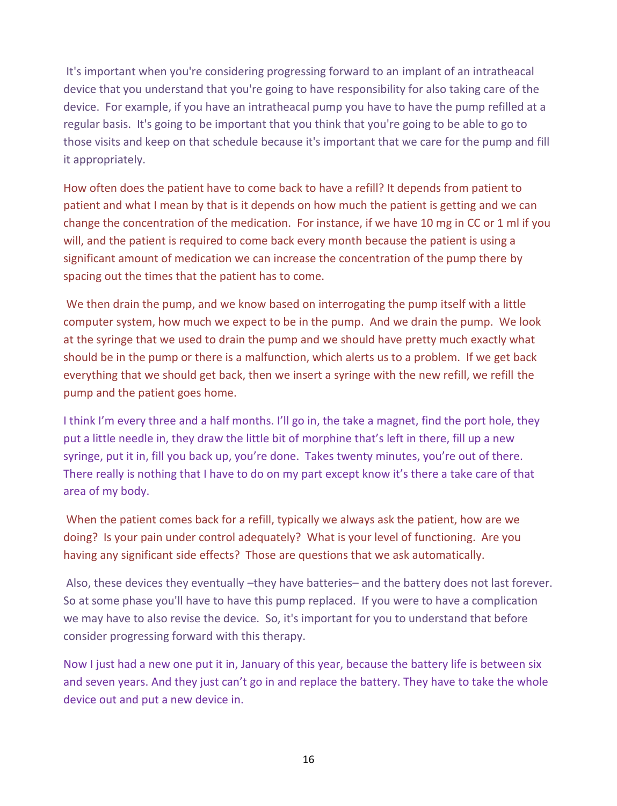It's important when you're considering progressing forward to an implant of an intratheacal device that you understand that you're going to have responsibility for also taking care of the device. For example, if you have an intratheacal pump you have to have the pump refilled at a regular basis. It's going to be important that you think that you're going to be able to go to those visits and keep on that schedule because it's important that we care for the pump and fill it appropriately.

How often does the patient have to come back to have a refill? It depends from patient to patient and what I mean by that is it depends on how much the patient is getting and we can change the concentration of the medication. For instance, if we have 10 mg in CC or 1 ml if you will, and the patient is required to come back every month because the patient is using a significant amount of medication we can increase the concentration of the pump there by spacing out the times that the patient has to come.

We then drain the pump, and we know based on interrogating the pump itself with a little computer system, how much we expect to be in the pump. And we drain the pump. We look at the syringe that we used to drain the pump and we should have pretty much exactly what should be in the pump or there is a malfunction, which alerts us to a problem. If we get back everything that we should get back, then we insert a syringe with the new refill, we refill the pump and the patient goes home.

I think I'm every three and a half months. I'll go in, the take a magnet, find the port hole, they put a little needle in, they draw the little bit of morphine that's left in there, fill up a new syringe, put it in, fill you back up, you're done. Takes twenty minutes, you're out of there. There really is nothing that I have to do on my part except know it's there a take care of that area of my body.

When the patient comes back for a refill, typically we always ask the patient, how are we doing? Is your pain under control adequately? What is your level of functioning. Are you having any significant side effects? Those are questions that we ask automatically.

Also, these devices they eventually –they have batteries– and the battery does not last forever. So at some phase you'll have to have this pump replaced. If you were to have a complication we may have to also revise the device. So, it's important for you to understand that before consider progressing forward with this therapy.

Now I just had a new one put it in, January of this year, because the battery life is between six and seven years. And they just can't go in and replace the battery. They have to take the whole device out and put a new device in.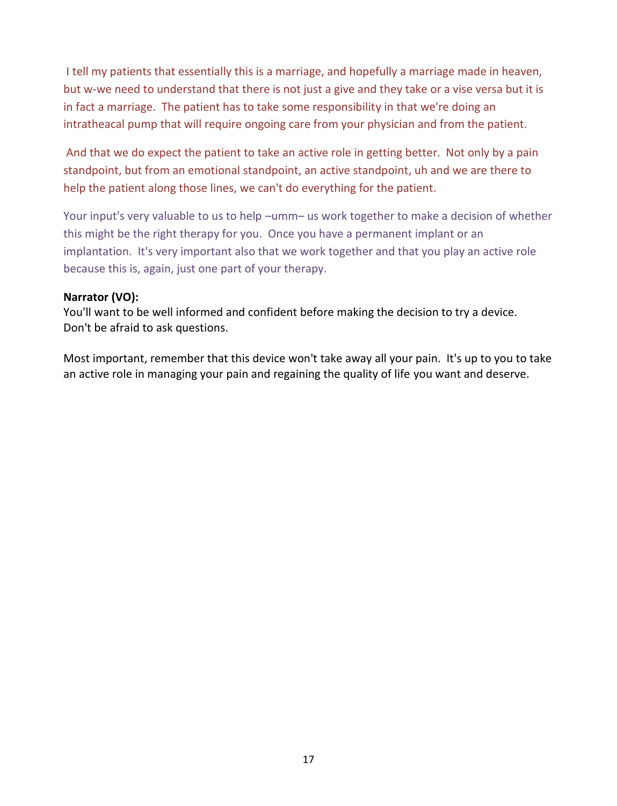I tell my patients that essentially this is a marriage, and hopefully a marriage made in heaven, but w-we need to understand that there is not just a give and they take or a vise versa but it is in fact a marriage. The patient has to take some responsibility in that we're doing an intratheacal pump that will require ongoing care from your physician and from the patient.

And that we do expect the patient to take an active role in getting better. Not only by a pain standpoint, but from an emotional standpoint, an active standpoint, uh and we are there to help the patient along those lines, we can't do everything for the patient.

Your input's very valuable to us to help –umm– us work together to make a decision of whether this might be the right therapy for you. Once you have a permanent implant or an implantation. It's very important also that we work together and that you play an active role because this is, again, just one part of your therapy.

#### **Narrator (VO):**

You'll want to be well informed and confident before making the decision to try a device. Don't be afraid to ask questions.

Most important, remember that this device won't take away all your pain. It's up to you to take an active role in managing your pain and regaining the quality of life you want and deserve.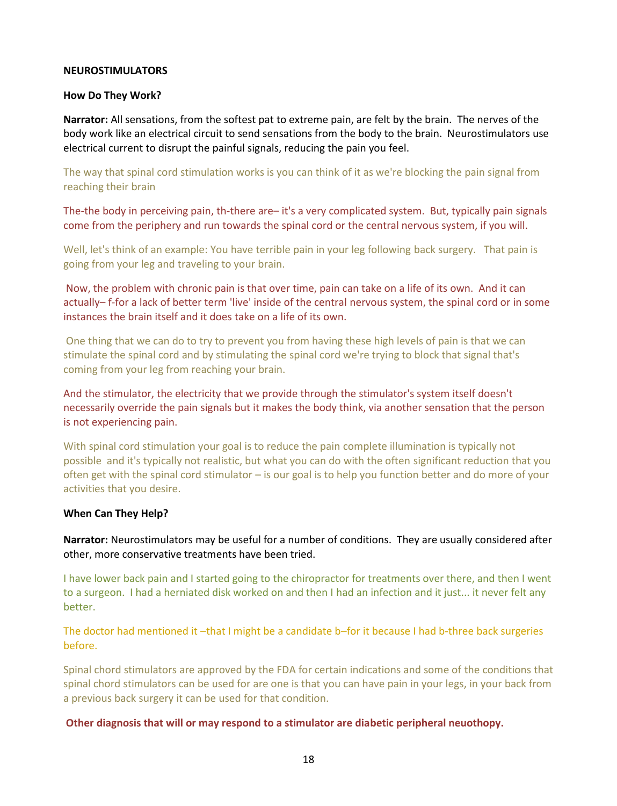#### **NEUROSTIMULATORS**

#### **How Do They Work?**

**Narrator:** All sensations, from the softest pat to extreme pain, are felt by the brain. The nerves of the body work like an electrical circuit to send sensations from the body to the brain. Neurostimulators use electrical current to disrupt the painful signals, reducing the pain you feel.

The way that spinal cord stimulation works is you can think of it as we're blocking the pain signal from reaching their brain

The-the body in perceiving pain, th-there are– it's a very complicated system. But, typically pain signals come from the periphery and run towards the spinal cord or the central nervous system, if you will.

Well, let's think of an example: You have terrible pain in your leg following back surgery. That pain is going from your leg and traveling to your brain.

Now, the problem with chronic pain is that over time, pain can take on a life of its own. And it can actually– f-for a lack of better term 'live' inside of the central nervous system, the spinal cord or in some instances the brain itself and it does take on a life of its own.

One thing that we can do to try to prevent you from having these high levels of pain is that we can stimulate the spinal cord and by stimulating the spinal cord we're trying to block that signal that's coming from your leg from reaching your brain.

And the stimulator, the electricity that we provide through the stimulator's system itself doesn't necessarily override the pain signals but it makes the body think, via another sensation that the person is not experiencing pain.

With spinal cord stimulation your goal is to reduce the pain complete illumination is typically not possible and it's typically not realistic, but what you can do with the often significant reduction that you often get with the spinal cord stimulator – is our goal is to help you function better and do more of your activities that you desire.

#### **When Can They Help?**

**Narrator:** Neurostimulators may be useful for a number of conditions. They are usually considered after other, more conservative treatments have been tried.

I have lower back pain and I started going to the chiropractor for treatments over there, and then I went to a surgeon. I had a herniated disk worked on and then I had an infection and it just... it never felt any better.

The doctor had mentioned it –that I might be a candidate b–for it because I had b-three back surgeries before.

Spinal chord stimulators are approved by the FDA for certain indications and some of the conditions that spinal chord stimulators can be used for are one is that you can have pain in your legs, in your back from a previous back surgery it can be used for that condition.

**Other diagnosis that will or may respond to a stimulator are diabetic peripheral neuothopy.**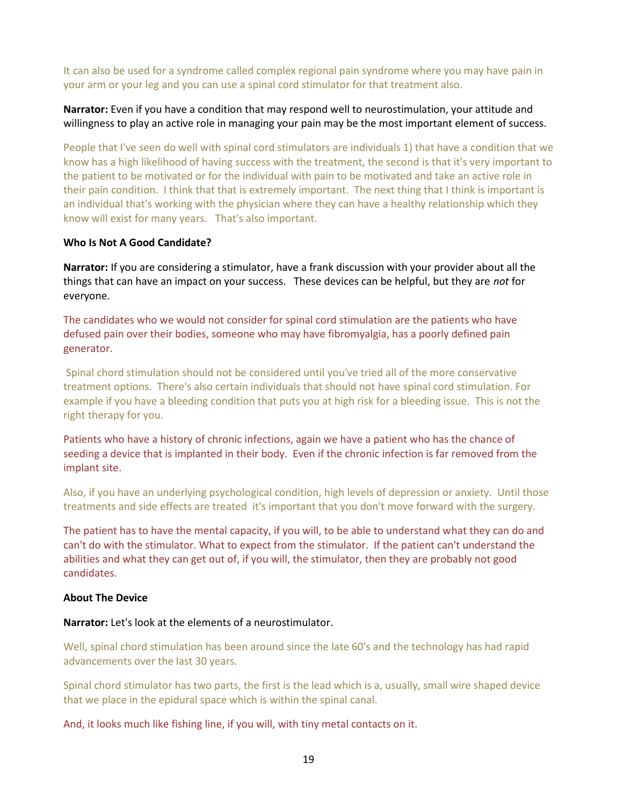It can also be used for a syndrome called complex regional pain syndrome where you may have pain in your arm or your leg and you can use a spinal cord stimulator for that treatment also.

#### **Narrator:** Even if you have a condition that may respond well to neurostimulation, your attitude and willingness to play an active role in managing your pain may be the most important element of success.

People that I've seen do well with spinal cord stimulators are individuals 1) that have a condition that we know has a high likelihood of having success with the treatment, the second is that it's very important to the patient to be motivated or for the individual with pain to be motivated and take an active role in their pain condition. I think that that is extremely important. The next thing that I think is important is an individual that's working with the physician where they can have a healthy relationship which they know will exist for many years. That's also important.

#### **Who Is Not A Good Candidate?**

**Narrator:** If you are considering a stimulator, have a frank discussion with your provider about all the things that can have an impact on your success. These devices can be helpful, but they are *not* for everyone.

The candidates who we would not consider for spinal cord stimulation are the patients who have defused pain over their bodies, someone who may have fibromyalgia, has a poorly defined pain generator.

Spinal chord stimulation should not be considered until you've tried all of the more conservative treatment options. There's also certain individuals that should not have spinal cord stimulation. For example if you have a bleeding condition that puts you at high risk for a bleeding issue. This is not the right therapy for you.

Patients who have a history of chronic infections, again we have a patient who has the chance of seeding a device that is implanted in their body. Even if the chronic infection is far removed from the implant site.

Also, if you have an underlying psychological condition, high levels of depression or anxiety. Until those treatments and side effects are treated it's important that you don't move forward with the surgery.

The patient has to have the mental capacity, if you will, to be able to understand what they can do and can't do with the stimulator. What to expect from the stimulator. If the patient can't understand the abilities and what they can get out of, if you will, the stimulator, then they are probably not good candidates.

#### **About The Device**

#### **Narrator:** Let's look at the elements of a neurostimulator.

Well, spinal chord stimulation has been around since the late 60's and the technology has had rapid advancements over the last 30 years.

Spinal chord stimulator has two parts, the first is the lead which is a, usually, small wire shaped device that we place in the epidural space which is within the spinal canal.

And, it looks much like fishing line, if you will, with tiny metal contacts on it.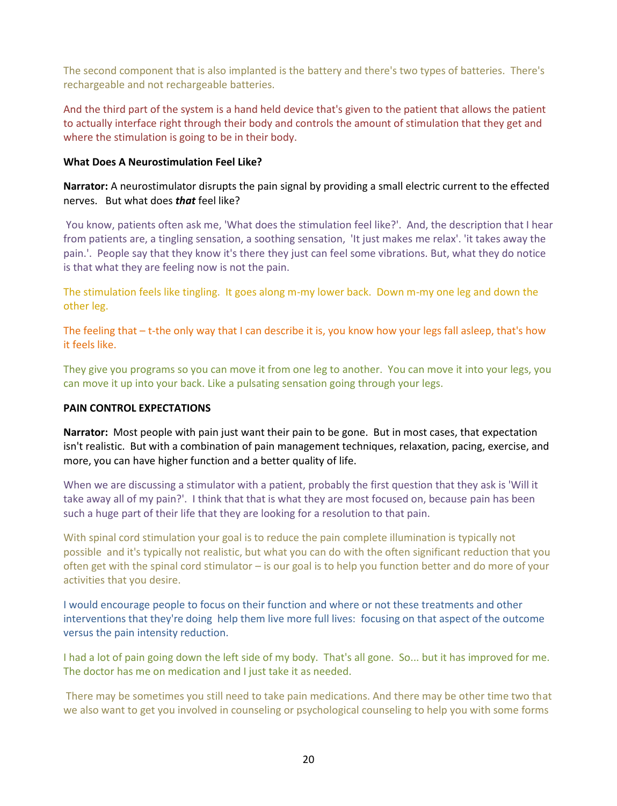The second component that is also implanted is the battery and there's two types of batteries. There's rechargeable and not rechargeable batteries.

And the third part of the system is a hand held device that's given to the patient that allows the patient to actually interface right through their body and controls the amount of stimulation that they get and where the stimulation is going to be in their body.

#### **What Does A Neurostimulation Feel Like?**

**Narrator:** A neurostimulator disrupts the pain signal by providing a small electric current to the effected nerves. But what does *that* feel like?

You know, patients often ask me, 'What does the stimulation feel like?'. And, the description that I hear from patients are, a tingling sensation, a soothing sensation, 'It just makes me relax'. 'it takes away the pain.'. People say that they know it's there they just can feel some vibrations. But, what they do notice is that what they are feeling now is not the pain.

The stimulation feels like tingling. It goes along m-my lower back. Down m-my one leg and down the other leg.

The feeling that – t-the only way that I can describe it is, you know how your legs fall asleep, that's how it feels like.

They give you programs so you can move it from one leg to another. You can move it into your legs, you can move it up into your back. Like a pulsating sensation going through your legs.

#### **PAIN CONTROL EXPECTATIONS**

**Narrator:** Most people with pain just want their pain to be gone. But in most cases, that expectation isn't realistic. But with a combination of pain management techniques, relaxation, pacing, exercise, and more, you can have higher function and a better quality of life.

When we are discussing a stimulator with a patient, probably the first question that they ask is 'Will it take away all of my pain?'. I think that that is what they are most focused on, because pain has been such a huge part of their life that they are looking for a resolution to that pain.

With spinal cord stimulation your goal is to reduce the pain complete illumination is typically not possible and it's typically not realistic, but what you can do with the often significant reduction that you often get with the spinal cord stimulator – is our goal is to help you function better and do more of your activities that you desire.

I would encourage people to focus on their function and where or not these treatments and other interventions that they're doing help them live more full lives: focusing on that aspect of the outcome versus the pain intensity reduction.

I had a lot of pain going down the left side of my body. That's all gone. So... but it has improved for me. The doctor has me on medication and I just take it as needed.

There may be sometimes you still need to take pain medications. And there may be other time two that we also want to get you involved in counseling or psychological counseling to help you with some forms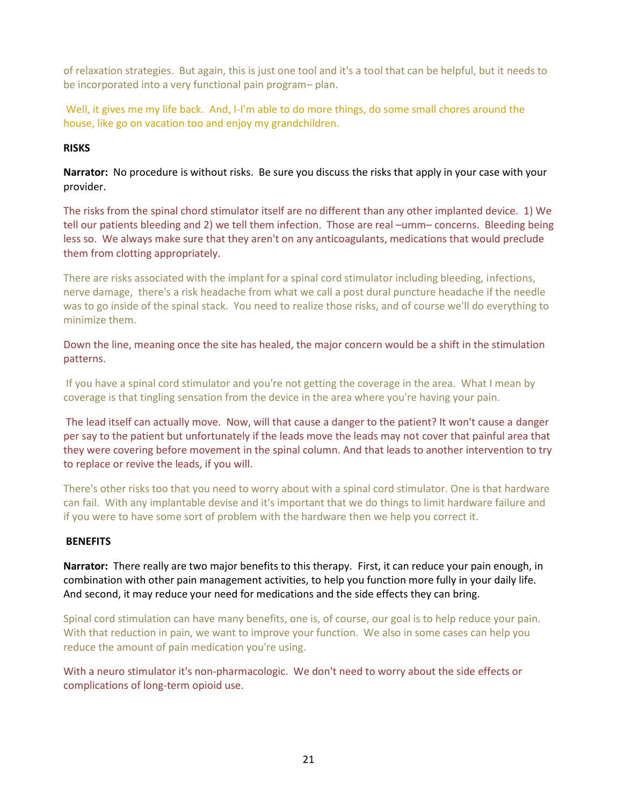of relaxation strategies. But again, this is just one tool and it's a tool that can be helpful, but it needs to be incorporated into a very functional pain program– plan.

Well, it gives me my life back. And, I-I'm able to do more things, do some small chores around the house, like go on vacation too and enjoy my grandchildren.

#### **RISKS**

**Narrator:** No procedure is without risks. Be sure you discuss the risks that apply in your case with your provider.

The risks from the spinal chord stimulator itself are no different than any other implanted device. 1) We tell our patients bleeding and 2) we tell them infection. Those are real –umm– concerns. Bleeding being less so. We always make sure that they aren't on any anticoagulants, medications that would preclude them from clotting appropriately.

There are risks associated with the implant for a spinal cord stimulator including bleeding, infections, nerve damage, there's a risk headache from what we call a post dural puncture headache if the needle was to go inside of the spinal stack. You need to realize those risks, and of course we'll do everything to minimize them.

Down the line, meaning once the site has healed, the major concern would be a shift in the stimulation patterns.

If you have a spinal cord stimulator and you're not getting the coverage in the area. What I mean by coverage is that tingling sensation from the device in the area where you're having your pain.

The lead itself can actually move. Now, will that cause a danger to the patient? It won't cause a danger per say to the patient but unfortunately if the leads move the leads may not cover that painful area that they were covering before movement in the spinal column. And that leads to another intervention to try to replace or revive the leads, if you will.

There's other risks too that you need to worry about with a spinal cord stimulator. One is that hardware can fail. With any implantable devise and it's important that we do things to limit hardware failure and if you were to have some sort of problem with the hardware then we help you correct it.

#### **BENEFITS**

**Narrator:** There really are two major benefits to this therapy. First, it can reduce your pain enough, in combination with other pain management activities, to help you function more fully in your daily life. And second, it may reduce your need for medications and the side effects they can bring.

Spinal cord stimulation can have many benefits, one is, of course, our goal is to help reduce your pain. With that reduction in pain, we want to improve your function. We also in some cases can help you reduce the amount of pain medication you're using.

With a neuro stimulator it's non-pharmacologic. We don't need to worry about the side effects or complications of long-term opioid use.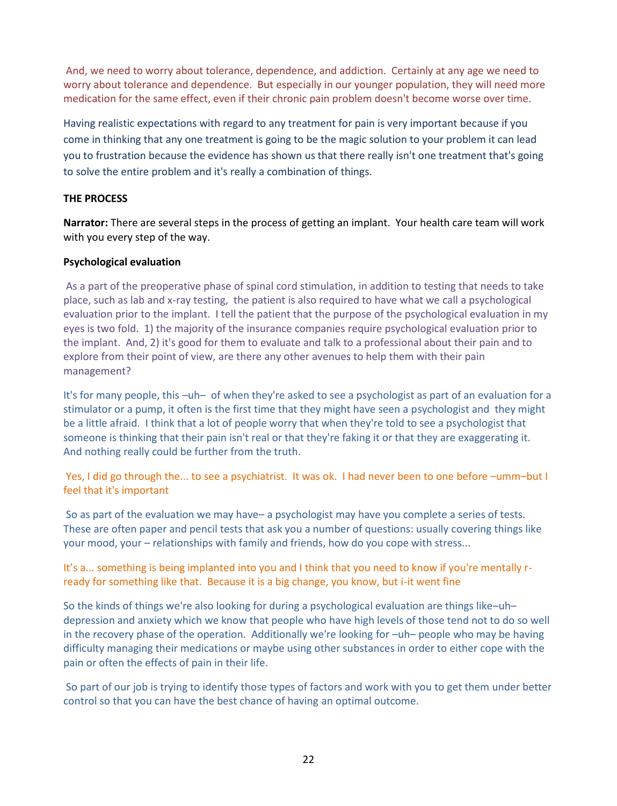And, we need to worry about tolerance, dependence, and addiction. Certainly at any age we need to worry about tolerance and dependence. But especially in our younger population, they will need more medication for the same effect, even if their chronic pain problem doesn't become worse over time.

Having realistic expectations with regard to any treatment for pain is very important because if you come in thinking that any one treatment is going to be the magic solution to your problem it can lead you to frustration because the evidence has shown us that there really isn't one treatment that's going to solve the entire problem and it's really a combination of things.

#### **THE PROCESS**

**Narrator:** There are several steps in the process of getting an implant. Your health care team will work with you every step of the way.

#### **Psychological evaluation**

As a part of the preoperative phase of spinal cord stimulation, in addition to testing that needs to take place, such as lab and x-ray testing, the patient is also required to have what we call a psychological evaluation prior to the implant. I tell the patient that the purpose of the psychological evaluation in my eyes is two fold. 1) the majority of the insurance companies require psychological evaluation prior to the implant. And, 2) it's good for them to evaluate and talk to a professional about their pain and to explore from their point of view, are there any other avenues to help them with their pain management?

It's for many people, this –uh– of when they're asked to see a psychologist as part of an evaluation for a stimulator or a pump, it often is the first time that they might have seen a psychologist and they might be a little afraid. I think that a lot of people worry that when they're told to see a psychologist that someone is thinking that their pain isn't real or that they're faking it or that they are exaggerating it. And nothing really could be further from the truth.

Yes, I did go through the... to see a psychiatrist. It was ok. I had never been to one before –umm–but I feel that it's important

So as part of the evaluation we may have– a psychologist may have you complete a series of tests. These are often paper and pencil tests that ask you a number of questions: usually covering things like your mood, your – relationships with family and friends, how do you cope with stress...

It's a... something is being implanted into you and I think that you need to know if you're mentally rready for something like that. Because it is a big change, you know, but i-it went fine

So the kinds of things we're also looking for during a psychological evaluation are things like–uh– depression and anxiety which we know that people who have high levels of those tend not to do so well in the recovery phase of the operation. Additionally we're looking for –uh– people who may be having difficulty managing their medications or maybe using other substances in order to either cope with the pain or often the effects of pain in their life.

So part of our job is trying to identify those types of factors and work with you to get them under better control so that you can have the best chance of having an optimal outcome.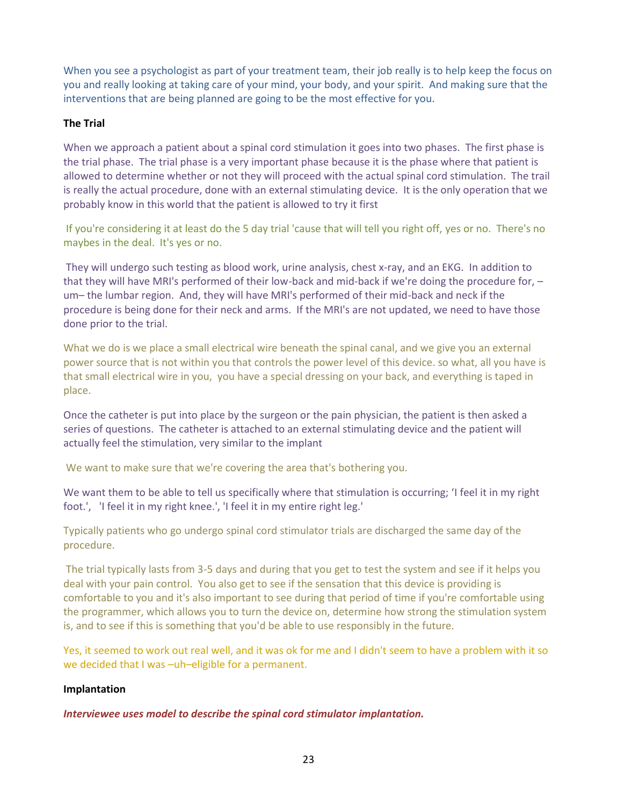When you see a psychologist as part of your treatment team, their job really is to help keep the focus on you and really looking at taking care of your mind, your body, and your spirit. And making sure that the interventions that are being planned are going to be the most effective for you.

#### **The Trial**

When we approach a patient about a spinal cord stimulation it goes into two phases. The first phase is the trial phase. The trial phase is a very important phase because it is the phase where that patient is allowed to determine whether or not they will proceed with the actual spinal cord stimulation. The trail is really the actual procedure, done with an external stimulating device. It is the only operation that we probably know in this world that the patient is allowed to try it first

If you're considering it at least do the 5 day trial 'cause that will tell you right off, yes or no. There's no maybes in the deal. It's yes or no.

They will undergo such testing as blood work, urine analysis, chest x-ray, and an EKG. In addition to that they will have MRI's performed of their low-back and mid-back if we're doing the procedure for, – um– the lumbar region. And, they will have MRI's performed of their mid-back and neck if the procedure is being done for their neck and arms. If the MRI's are not updated, we need to have those done prior to the trial.

What we do is we place a small electrical wire beneath the spinal canal, and we give you an external power source that is not within you that controls the power level of this device. so what, all you have is that small electrical wire in you, you have a special dressing on your back, and everything is taped in place.

Once the catheter is put into place by the surgeon or the pain physician, the patient is then asked a series of questions. The catheter is attached to an external stimulating device and the patient will actually feel the stimulation, very similar to the implant

We want to make sure that we're covering the area that's bothering you.

We want them to be able to tell us specifically where that stimulation is occurring; 'I feel it in my right foot.', 'I feel it in my right knee.', 'I feel it in my entire right leg.'

Typically patients who go undergo spinal cord stimulator trials are discharged the same day of the procedure.

The trial typically lasts from 3-5 days and during that you get to test the system and see if it helps you deal with your pain control. You also get to see if the sensation that this device is providing is comfortable to you and it's also important to see during that period of time if you're comfortable using the programmer, which allows you to turn the device on, determine how strong the stimulation system is, and to see if this is something that you'd be able to use responsibly in the future.

Yes, it seemed to work out real well, and it was ok for me and I didn't seem to have a problem with it so we decided that I was –uh–eligible for a permanent.

#### **Implantation**

*Interviewee uses model to describe the spinal cord stimulator implantation.*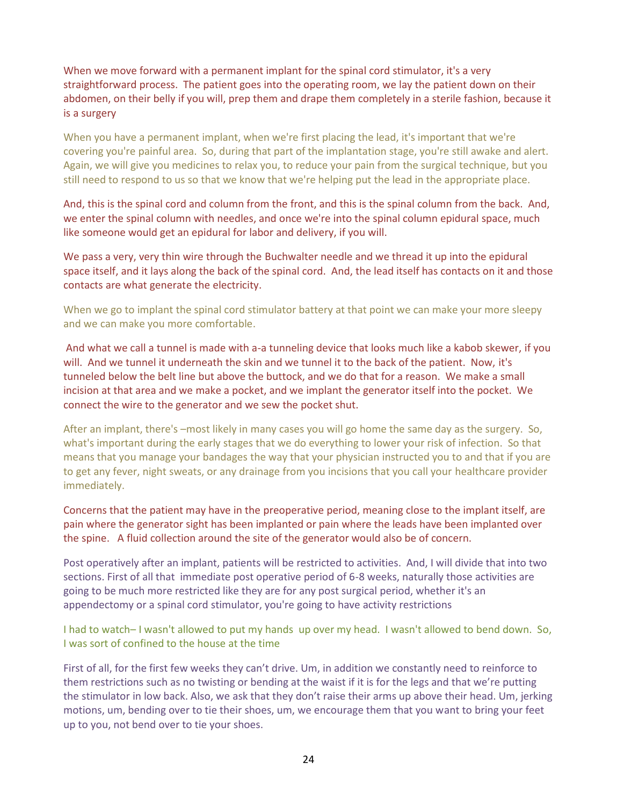When we move forward with a permanent implant for the spinal cord stimulator, it's a very straightforward process. The patient goes into the operating room, we lay the patient down on their abdomen, on their belly if you will, prep them and drape them completely in a sterile fashion, because it is a surgery

When you have a permanent implant, when we're first placing the lead, it's important that we're covering you're painful area. So, during that part of the implantation stage, you're still awake and alert. Again, we will give you medicines to relax you, to reduce your pain from the surgical technique, but you still need to respond to us so that we know that we're helping put the lead in the appropriate place.

And, this is the spinal cord and column from the front, and this is the spinal column from the back. And, we enter the spinal column with needles, and once we're into the spinal column epidural space, much like someone would get an epidural for labor and delivery, if you will.

We pass a very, very thin wire through the Buchwalter needle and we thread it up into the epidural space itself, and it lays along the back of the spinal cord. And, the lead itself has contacts on it and those contacts are what generate the electricity.

When we go to implant the spinal cord stimulator battery at that point we can make your more sleepy and we can make you more comfortable.

And what we call a tunnel is made with a-a tunneling device that looks much like a kabob skewer, if you will. And we tunnel it underneath the skin and we tunnel it to the back of the patient. Now, it's tunneled below the belt line but above the buttock, and we do that for a reason. We make a small incision at that area and we make a pocket, and we implant the generator itself into the pocket. We connect the wire to the generator and we sew the pocket shut.

After an implant, there's –most likely in many cases you will go home the same day as the surgery. So, what's important during the early stages that we do everything to lower your risk of infection. So that means that you manage your bandages the way that your physician instructed you to and that if you are to get any fever, night sweats, or any drainage from you incisions that you call your healthcare provider immediately.

Concerns that the patient may have in the preoperative period, meaning close to the implant itself, are pain where the generator sight has been implanted or pain where the leads have been implanted over the spine. A fluid collection around the site of the generator would also be of concern.

Post operatively after an implant, patients will be restricted to activities. And, I will divide that into two sections. First of all that immediate post operative period of 6-8 weeks, naturally those activities are going to be much more restricted like they are for any post surgical period, whether it's an appendectomy or a spinal cord stimulator, you're going to have activity restrictions

I had to watch– I wasn't allowed to put my hands up over my head. I wasn't allowed to bend down. So, I was sort of confined to the house at the time

First of all, for the first few weeks they can't drive. Um, in addition we constantly need to reinforce to them restrictions such as no twisting or bending at the waist if it is for the legs and that we're putting the stimulator in low back. Also, we ask that they don't raise their arms up above their head. Um, jerking motions, um, bending over to tie their shoes, um, we encourage them that you want to bring your feet up to you, not bend over to tie your shoes.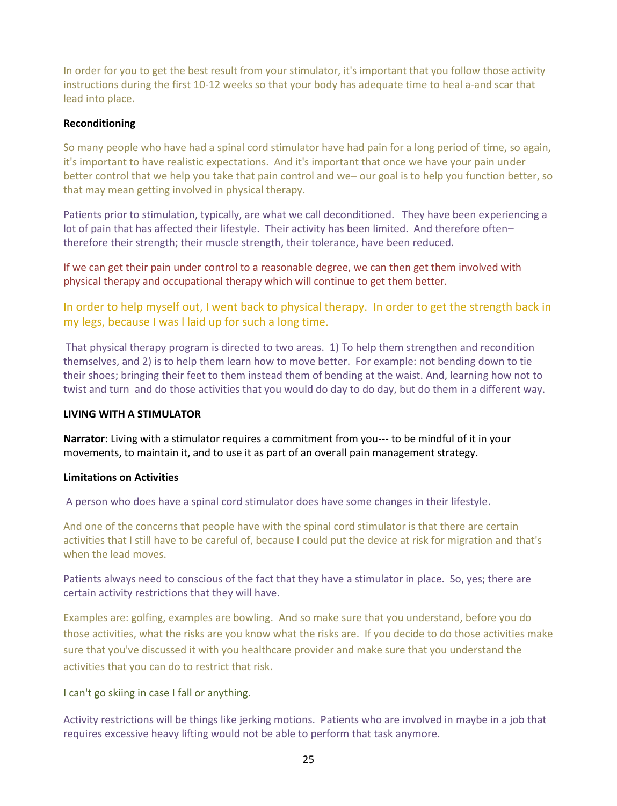In order for you to get the best result from your stimulator, it's important that you follow those activity instructions during the first 10-12 weeks so that your body has adequate time to heal a-and scar that lead into place.

#### **Reconditioning**

So many people who have had a spinal cord stimulator have had pain for a long period of time, so again, it's important to have realistic expectations. And it's important that once we have your pain under better control that we help you take that pain control and we– our goal is to help you function better, so that may mean getting involved in physical therapy.

Patients prior to stimulation, typically, are what we call deconditioned. They have been experiencing a lot of pain that has affected their lifestyle. Their activity has been limited. And therefore often– therefore their strength; their muscle strength, their tolerance, have been reduced.

If we can get their pain under control to a reasonable degree, we can then get them involved with physical therapy and occupational therapy which will continue to get them better.

In order to help myself out, I went back to physical therapy. In order to get the strength back in my legs, because I was l laid up for such a long time.

That physical therapy program is directed to two areas. 1) To help them strengthen and recondition themselves, and 2) is to help them learn how to move better. For example: not bending down to tie their shoes; bringing their feet to them instead them of bending at the waist. And, learning how not to twist and turn and do those activities that you would do day to do day, but do them in a different way.

#### **LIVING WITH A STIMULATOR**

**Narrator:** Living with a stimulator requires a commitment from you--- to be mindful of it in your movements, to maintain it, and to use it as part of an overall pain management strategy.

#### **Limitations on Activities**

A person who does have a spinal cord stimulator does have some changes in their lifestyle.

And one of the concerns that people have with the spinal cord stimulator is that there are certain activities that I still have to be careful of, because I could put the device at risk for migration and that's when the lead moves.

Patients always need to conscious of the fact that they have a stimulator in place. So, yes; there are certain activity restrictions that they will have.

Examples are: golfing, examples are bowling. And so make sure that you understand, before you do those activities, what the risks are you know what the risks are. If you decide to do those activities make sure that you've discussed it with you healthcare provider and make sure that you understand the activities that you can do to restrict that risk.

I can't go skiing in case I fall or anything.

Activity restrictions will be things like jerking motions. Patients who are involved in maybe in a job that requires excessive heavy lifting would not be able to perform that task anymore.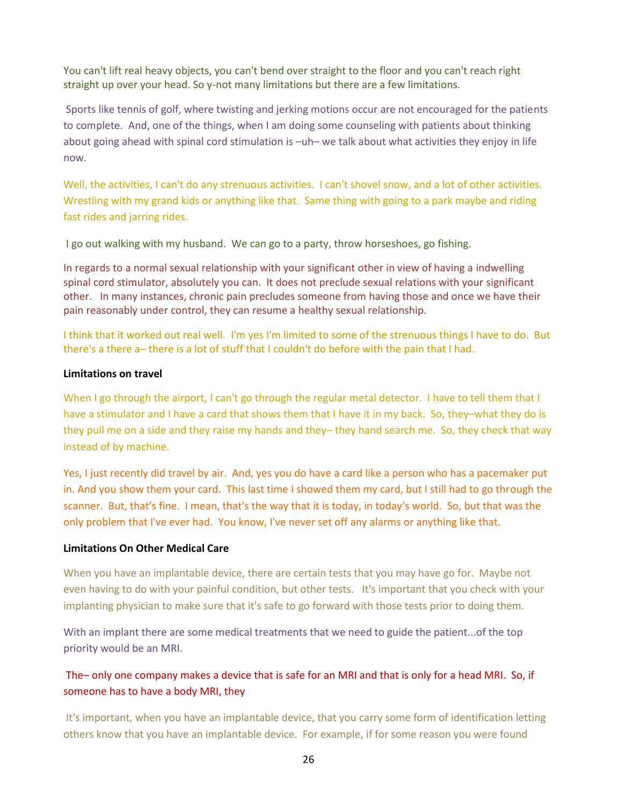You can't lift real heavy objects, you can't bend over straight to the floor and you can't reach right straight up over your head. So y-not many limitations but there are a few limitations.

Sports like tennis of golf, where twisting and jerking motions occur are not encouraged for the patients to complete. And, one of the things, when I am doing some counseling with patients about thinking about going ahead with spinal cord stimulation is –uh– we talk about what activities they enjoy in life now.

Well, the activities, I can't do any strenuous activities. I can't shovel snow, and a lot of other activities. Wrestling with my grand kids or anything like that. Same thing with going to a park maybe and riding fast rides and jarring rides.

I go out walking with my husband. We can go to a party, throw horseshoes, go fishing.

In regards to a normal sexual relationship with your significant other in view of having a indwelling spinal cord stimulator, absolutely you can. It does not preclude sexual relations with your significant other. In many instances, chronic pain precludes someone from having those and once we have their pain reasonably under control, they can resume a healthy sexual relationship.

I think that it worked out real well. I'm yes I'm limited to some of the strenuous things I have to do. But there's a there a– there is a lot of stuff that I couldn't do before with the pain that I had.

#### **Limitations on travel**

When I go through the airport, I can't go through the regular metal detector. I have to tell them that I have a stimulator and I have a card that shows them that I have it in my back. So, they–what they do is they pull me on a side and they raise my hands and they– they hand search me. So, they check that way instead of by machine.

Yes, I just recently did travel by air. And, yes you do have a card like a person who has a pacemaker put in. And you show them your card. This last time I showed them my card, but I still had to go through the scanner. But, that's fine. I mean, that's the way that it is today, in today's world. So, but that was the only problem that I've ever had. You know, I've never set off any alarms or anything like that.

#### **Limitations On Other Medical Care**

When you have an implantable device, there are certain tests that you may have go for. Maybe not even having to do with your painful condition, but other tests. It's important that you check with your implanting physician to make sure that it's safe to go forward with those tests prior to doing them.

With an implant there are some medical treatments that we need to guide the patient...of the top priority would be an MRI.

## The– only one company makes a device that is safe for an MRI and that is only for a head MRI. So, if someone has to have a body MRI, they

It's important, when you have an implantable device, that you carry some form of identification letting others know that you have an implantable device. For example, if for some reason you were found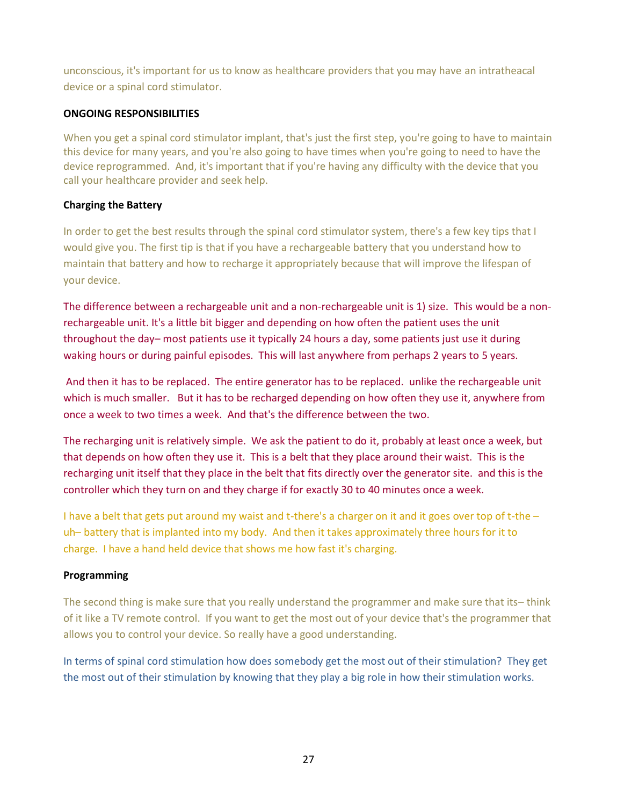unconscious, it's important for us to know as healthcare providers that you may have an intratheacal device or a spinal cord stimulator.

#### **ONGOING RESPONSIBILITIES**

When you get a spinal cord stimulator implant, that's just the first step, you're going to have to maintain this device for many years, and you're also going to have times when you're going to need to have the device reprogrammed. And, it's important that if you're having any difficulty with the device that you call your healthcare provider and seek help.

#### **Charging the Battery**

In order to get the best results through the spinal cord stimulator system, there's a few key tips that I would give you. The first tip is that if you have a rechargeable battery that you understand how to maintain that battery and how to recharge it appropriately because that will improve the lifespan of your device.

The difference between a rechargeable unit and a non-rechargeable unit is 1) size. This would be a nonrechargeable unit. It's a little bit bigger and depending on how often the patient uses the unit throughout the day– most patients use it typically 24 hours a day, some patients just use it during waking hours or during painful episodes. This will last anywhere from perhaps 2 years to 5 years.

And then it has to be replaced. The entire generator has to be replaced. unlike the rechargeable unit which is much smaller. But it has to be recharged depending on how often they use it, anywhere from once a week to two times a week. And that's the difference between the two.

The recharging unit is relatively simple. We ask the patient to do it, probably at least once a week, but that depends on how often they use it. This is a belt that they place around their waist. This is the recharging unit itself that they place in the belt that fits directly over the generator site. and this is the controller which they turn on and they charge if for exactly 30 to 40 minutes once a week.

I have a belt that gets put around my waist and t-there's a charger on it and it goes over top of t-the  $$ uh– battery that is implanted into my body. And then it takes approximately three hours for it to charge. I have a hand held device that shows me how fast it's charging.

#### **Programming**

The second thing is make sure that you really understand the programmer and make sure that its– think of it like a TV remote control. If you want to get the most out of your device that's the programmer that allows you to control your device. So really have a good understanding.

In terms of spinal cord stimulation how does somebody get the most out of their stimulation? They get the most out of their stimulation by knowing that they play a big role in how their stimulation works.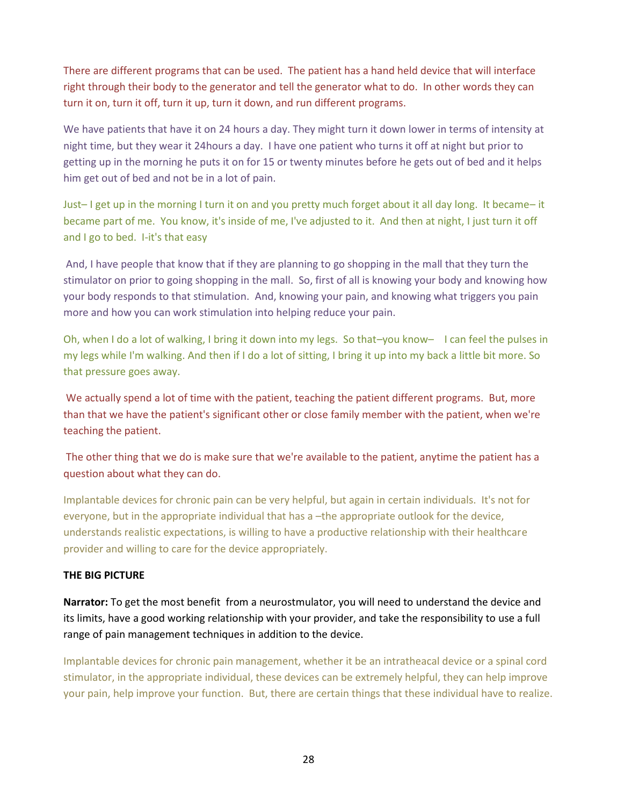There are different programs that can be used. The patient has a hand held device that will interface right through their body to the generator and tell the generator what to do. In other words they can turn it on, turn it off, turn it up, turn it down, and run different programs.

We have patients that have it on 24 hours a day. They might turn it down lower in terms of intensity at night time, but they wear it 24hours a day. I have one patient who turns it off at night but prior to getting up in the morning he puts it on for 15 or twenty minutes before he gets out of bed and it helps him get out of bed and not be in a lot of pain.

Just– I get up in the morning I turn it on and you pretty much forget about it all day long. It became– it became part of me. You know, it's inside of me, I've adjusted to it. And then at night, I just turn it off and I go to bed. I-it's that easy

And, I have people that know that if they are planning to go shopping in the mall that they turn the stimulator on prior to going shopping in the mall. So, first of all is knowing your body and knowing how your body responds to that stimulation. And, knowing your pain, and knowing what triggers you pain more and how you can work stimulation into helping reduce your pain.

Oh, when I do a lot of walking, I bring it down into my legs. So that–you know– I can feel the pulses in my legs while I'm walking. And then if I do a lot of sitting, I bring it up into my back a little bit more. So that pressure goes away.

We actually spend a lot of time with the patient, teaching the patient different programs. But, more than that we have the patient's significant other or close family member with the patient, when we're teaching the patient.

The other thing that we do is make sure that we're available to the patient, anytime the patient has a question about what they can do.

Implantable devices for chronic pain can be very helpful, but again in certain individuals. It's not for everyone, but in the appropriate individual that has a –the appropriate outlook for the device, understands realistic expectations, is willing to have a productive relationship with their healthcare provider and willing to care for the device appropriately.

#### **THE BIG PICTURE**

**Narrator:** To get the most benefit from a neurostmulator, you will need to understand the device and its limits, have a good working relationship with your provider, and take the responsibility to use a full range of pain management techniques in addition to the device.

Implantable devices for chronic pain management, whether it be an intratheacal device or a spinal cord stimulator, in the appropriate individual, these devices can be extremely helpful, they can help improve your pain, help improve your function. But, there are certain things that these individual have to realize.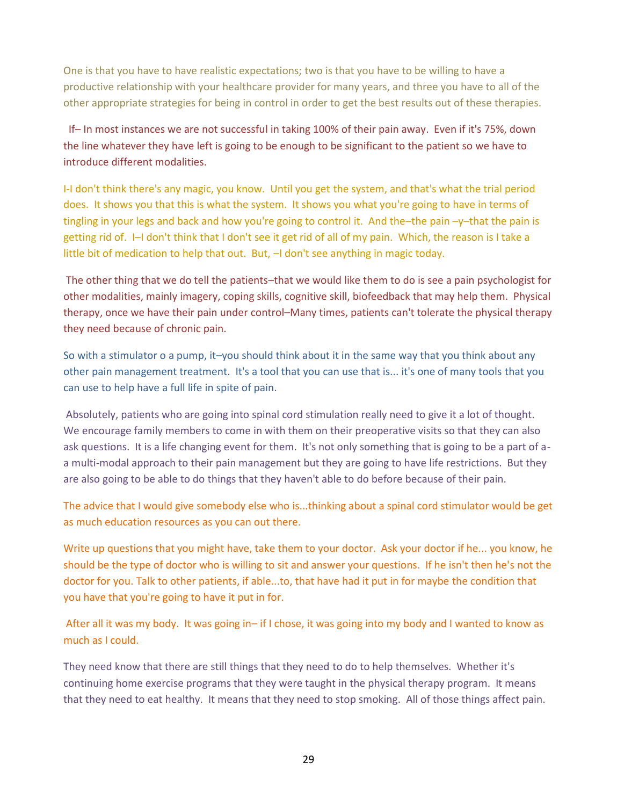One is that you have to have realistic expectations; two is that you have to be willing to have a productive relationship with your healthcare provider for many years, and three you have to all of the other appropriate strategies for being in control in order to get the best results out of these therapies.

If– In most instances we are not successful in taking 100% of their pain away. Even if it's 75%, down the line whatever they have left is going to be enough to be significant to the patient so we have to introduce different modalities.

I-I don't think there's any magic, you know. Until you get the system, and that's what the trial period does. It shows you that this is what the system. It shows you what you're going to have in terms of tingling in your legs and back and how you're going to control it. And the–the pain –y–that the pain is getting rid of. I–I don't think that I don't see it get rid of all of my pain. Which, the reason is I take a little bit of medication to help that out. But,  $-1$  don't see anything in magic today.

The other thing that we do tell the patients–that we would like them to do is see a pain psychologist for other modalities, mainly imagery, coping skills, cognitive skill, biofeedback that may help them. Physical therapy, once we have their pain under control–Many times, patients can't tolerate the physical therapy they need because of chronic pain.

So with a stimulator o a pump, it–you should think about it in the same way that you think about any other pain management treatment. It's a tool that you can use that is... it's one of many tools that you can use to help have a full life in spite of pain.

Absolutely, patients who are going into spinal cord stimulation really need to give it a lot of thought. We encourage family members to come in with them on their preoperative visits so that they can also ask questions. It is a life changing event for them. It's not only something that is going to be a part of aa multi-modal approach to their pain management but they are going to have life restrictions. But they are also going to be able to do things that they haven't able to do before because of their pain.

The advice that I would give somebody else who is...thinking about a spinal cord stimulator would be get as much education resources as you can out there.

Write up questions that you might have, take them to your doctor. Ask your doctor if he... you know, he should be the type of doctor who is willing to sit and answer your questions. If he isn't then he's not the doctor for you. Talk to other patients, if able...to, that have had it put in for maybe the condition that you have that you're going to have it put in for.

After all it was my body. It was going in– if I chose, it was going into my body and I wanted to know as much as I could.

They need know that there are still things that they need to do to help themselves. Whether it's continuing home exercise programs that they were taught in the physical therapy program. It means that they need to eat healthy. It means that they need to stop smoking. All of those things affect pain.